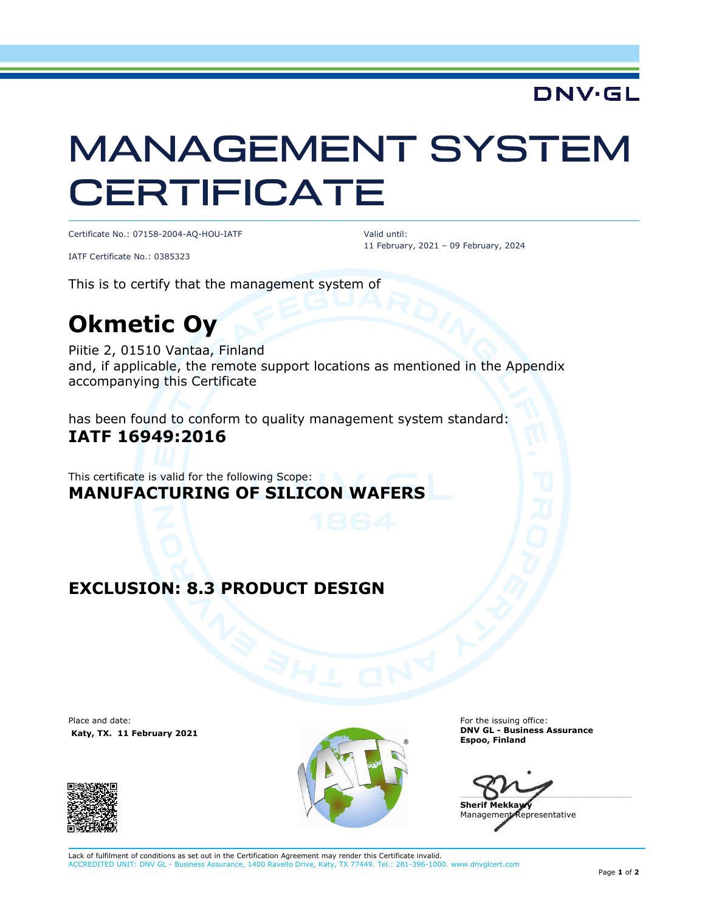## **DNV·GL**

# MANAGEMENT SYSTEM **CERTIFICATE**

Certificate No.: 07158-2004-AQ-HOU-IATF

IATF Certificate No.: 0385323

 Valid until: 11 February, 2021 – 09 February, 2024

This is to certify that the management system of

## **Okmetic Oy**

Piitie 2, 01510 Vantaa, Finland and, if applicable, the remote support locations as mentioned in the Appendix accompanying this Certificate

has been found to conform to quality management system standard: **IATF 16949:2016** 

This certificate is valid for the following Scope: **MANUFACTURING OF SILICON WAFERS**

#### **EXCLUSION: 8.3 PRODUCT DESIGN**

Place and date:  **Katy, TX. 11 February 2021**





For the issuing office: **DNV GL - Business Assurance Espoo, Finland** 

 $\Box$ **Sherif Mekkay** 

Management Representative